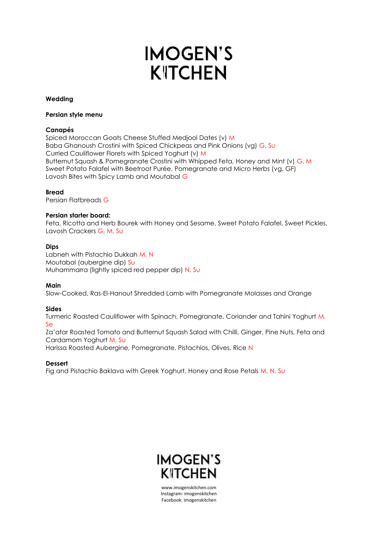# **IMOGEN'S KITCHEN**

## **Wedding**

## **Persian style menu**

# **Canapés**

Spiced Moroccan Goats Cheese Stuffed Medjool Dates (v) M Baba Ghanoush Crostini with Spiced Chickpeas and Pink Onions (vg) G, Su Curried Cauliflower Florets with Spiced Yoghurt (v) M Butternut Squash & Pomegranate Crostini with Whipped Feta, Honey and Mint (v) G, M Sweet Potato Falafel with Beetroot Purée, Pomegranate and Micro Herbs (vg, GF) Lavosh Bites with Spicy Lamb and Moutabal G

# **Bread**

Persian Flatbreads G

# **Persian starter board:**

Feta, Ricotta and Herb Bourek with Honey and Sesame, Sweet Potato Falafel, Sweet Pickles, Lavosh Crackers G, M, Su

# **Dips**

Labneh with Pistachio Dukkah M, N Moutabal (aubergine dip) Su Muhammarra (lightly spiced red pepper dip) N, Su

## **Main**

Slow-Cooked, Ras-El-Hanout Shredded Lamb with Pomegranate Molasses and Orange

## **Sides**

Turmeric Roasted Cauliflower with Spinach, Pomegranate, Coriander and Tahini Yoghurt M, Se

Za'atar Roasted Tomato and Butternut Squash Salad with Chilli, Ginger, Pine Nuts, Feta and Cardamom Yoghurt M, Su

Harissa Roasted Aubergine, Pomegranate, Pistachios, Olives, Rice N

## **Dessert**

Fig and Pistachio Baklava with Greek Yoghurt, Honey and Rose Petals M, N, Su

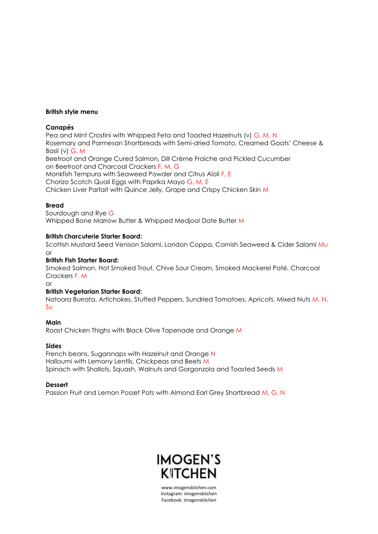## **British style menu**

# **Canapés**

Pea and Mint Crostini with Whipped Feta and Toasted Hazelnuts (v) G, M, N Rosemary and Parmesan Shortbreads with Semi-dried Tomato, Creamed Goats' Cheese & Basil (v) G, M Beetroot and Orange Cured Salmon, Dill Crème Fraiche and Pickled Cucumber on Beetroot and Charcoal Crackers F, M, G Monkfish Tempura with Seaweed Powder and Citrus Aïoli F, E Chorizo Scotch Quail Eggs with Paprika Mayo G, M, E

Chicken Liver Parfait with Quince Jelly, Grape and Crispy Chicken Skin M

# **Bread**

Sourdough and Rye G Whipped Bone Marrow Butter & Whipped Medjool Date Butter M

## **British Charcuterie Starter Board:**

Scottish Mustard Seed Venison Salami, London Coppa, Cornish Seaweed & Cider Salami Mu or

# **British Fish Starter Board:**

Smoked Salmon, Hot Smoked Trout, Chive Sour Cream, Smoked Mackerel Paté, Charcoal Crackers F, M

or

# **British Vegetarian Starter Board:**

Natoora Burrata, Artichokes, Stuffed Peppers, Sundried Tomatoes, Apricots, Mixed Nuts M, N, Su

# **Main** Roast Chicken Thighs with Black Olive Tapenade and Orange M

## **Sides**

French beans, Sugarsnaps with Hazelnut and Orange N Halloumi with Lemony Lentils, Chickpeas and Beets M Spinach with Shallots, Squash, Walnuts and Gorgonzola and Toasted Seeds M

# **Dessert**

Passion Fruit and Lemon Posset Pots with Almond Earl Grey Shortbread M, G, N

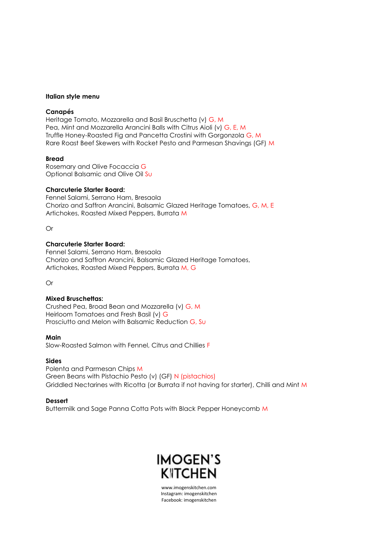#### **Italian style menu**

### **Canapés**

Heritage Tomato, Mozzarella and Basil Bruschetta (v) G, M Pea, Mint and Mozzarella Arancini Balls with Citrus Aioli (v) G, E, M Truffle Honey-Roasted Fig and Pancetta Crostini with Gorgonzola G, M Rare Roast Beef Skewers with Rocket Pesto and Parmesan Shavings (GF) M

#### **Bread**

Rosemary and Olive Focaccia G Optional Balsamic and Olive Oil Su

#### **Charcuterie Starter Board:**

Fennel Salami, Serrano Ham, Bresaola Chorizo and Saffron Arancini, Balsamic Glazed Heritage Tomatoes, G, M, E Artichokes, Roasted Mixed Peppers, Burrata M

Or

#### **Charcuterie Starter Board:**

Fennel Salami, Serrano Ham, Bresaola Chorizo and Saffron Arancini, Balsamic Glazed Heritage Tomatoes, Artichokes, Roasted Mixed Peppers, Burrata M, G

Or

## **Mixed Bruschettas:**

Crushed Pea, Broad Bean and Mozzarella (v) G, M Heirloom Tomatoes and Fresh Basil (v) G Prosciutto and Melon with Balsamic Reduction G, Su

**Main** Slow-Roasted Salmon with Fennel, Citrus and Chillies F

#### **Sides**

Polenta and Parmesan Chips M Green Beans with Pistachio Pesto (v) (GF) N (pistachios) Griddled Nectarines with Ricotta (or Burrata if not having for starter), Chilli and Mint M

## **Dessert**

Buttermilk and Sage Panna Cotta Pots with Black Pepper Honeycomb M